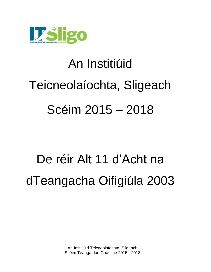

# An Institiúid Teicneolaíochta, Sligeach Scéim 2015 – 2018

## De réir Alt 11 d"Acht na dTeangacha Oifigiúla 2003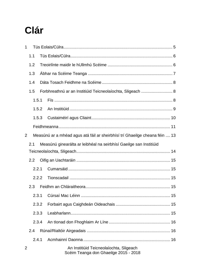### Clár

| 1                     |                                                                    |  |                                                                                  |  |  |
|-----------------------|--------------------------------------------------------------------|--|----------------------------------------------------------------------------------|--|--|
|                       | 1.1                                                                |  |                                                                                  |  |  |
|                       | 1.2                                                                |  |                                                                                  |  |  |
|                       | 1.3                                                                |  |                                                                                  |  |  |
|                       | 1.4                                                                |  |                                                                                  |  |  |
|                       | 1.5                                                                |  | Forbhreathnú ar an Institiúid Teicneolaíochta, Sligeach  8                       |  |  |
|                       | 1.5.1                                                              |  |                                                                                  |  |  |
|                       | 1.5.2                                                              |  |                                                                                  |  |  |
|                       | 1.5.3                                                              |  |                                                                                  |  |  |
|                       |                                                                    |  |                                                                                  |  |  |
| 2                     |                                                                    |  | Measúnú ar a mhéad agus atá fáil ar sheirbhísí trí Ghaeilge cheana féin  13      |  |  |
|                       | Measúnú ginearálta ar leibhéal na seirbhísí Gaeilge san Institiúid |  |                                                                                  |  |  |
|                       |                                                                    |  |                                                                                  |  |  |
| 2.2<br>2.2.1<br>2.2.2 |                                                                    |  |                                                                                  |  |  |
|                       |                                                                    |  |                                                                                  |  |  |
|                       |                                                                    |  |                                                                                  |  |  |
|                       | 2.3                                                                |  |                                                                                  |  |  |
|                       | 2.3.1                                                              |  |                                                                                  |  |  |
| 2.3.2<br>2.3.3        |                                                                    |  |                                                                                  |  |  |
|                       |                                                                    |  |                                                                                  |  |  |
|                       | 2.3.4                                                              |  |                                                                                  |  |  |
|                       | 2.4                                                                |  |                                                                                  |  |  |
|                       | 2.4.1                                                              |  |                                                                                  |  |  |
| 2                     |                                                                    |  | An Institiúid Teicneolaíochta, Sligeach<br>Scéim Teanga don Ghaeilge 2015 - 2018 |  |  |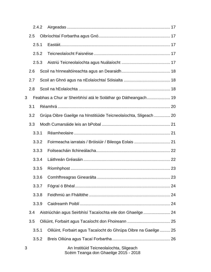|                | 2.4.2 |  |                                                                                  |    |
|----------------|-------|--|----------------------------------------------------------------------------------|----|
|                | 2.5   |  |                                                                                  |    |
|                | 2.5.1 |  |                                                                                  |    |
|                | 2.5.2 |  |                                                                                  |    |
|                | 2.5.3 |  |                                                                                  |    |
|                | 2.6   |  |                                                                                  |    |
|                | 2.7   |  |                                                                                  |    |
|                | 2.8   |  |                                                                                  |    |
| 3              |       |  | Feabhas a Chur ar Sheirbhísí atá le Soláthar go Dátheangach 19                   |    |
|                | 3.1   |  |                                                                                  |    |
|                | 3.2   |  | Grúpa Oibre Gaeilge na hInstitiúide Teicneolaíochta, Sligeach  20                |    |
|                | 3.3   |  |                                                                                  |    |
|                | 3.3.1 |  |                                                                                  |    |
|                | 3.3.2 |  |                                                                                  |    |
| 3.3.3<br>3.3.4 |       |  |                                                                                  |    |
|                |       |  |                                                                                  |    |
|                | 3.3.5 |  |                                                                                  |    |
|                | 3.3.6 |  |                                                                                  | 23 |
|                | 3.3.7 |  |                                                                                  |    |
|                | 3.3.8 |  |                                                                                  |    |
|                | 3.3.9 |  |                                                                                  |    |
|                | 3.4   |  | Aistriúchán agus Seirbhísí Tacaíochta eile don Ghaeilge  24                      |    |
|                | 3.5   |  |                                                                                  |    |
|                | 3.5.1 |  | Oiliúint, Forbairt agus Tacaíocht do Ghrúpa Oibre na Gaeilge  25                 |    |
|                | 3.5.2 |  |                                                                                  |    |
| 3              |       |  | An Institiúid Teicneolaíochta, Sligeach<br>Scéim Teanga don Ghaeilge 2015 - 2018 |    |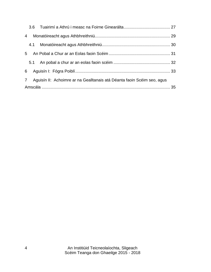| $\overline{4}$ |                                                                         |  |
|----------------|-------------------------------------------------------------------------|--|
|                |                                                                         |  |
|                |                                                                         |  |
|                |                                                                         |  |
|                |                                                                         |  |
| $7\phantom{0}$ | Aguisín II: Achoimre ar na Gealltanais atá Déanta faoin Scéim seo, agus |  |
|                |                                                                         |  |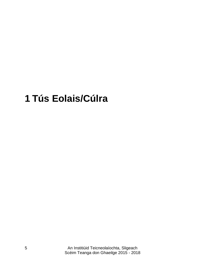### <span id="page-4-0"></span>**Tús Eolais/Cúlra**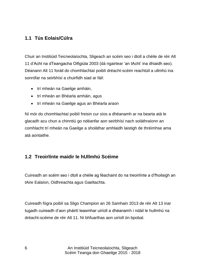#### <span id="page-5-0"></span>**1.1 Tús Eolais/Cúlra**

Chuir an Institiúid Teicneolaíochta, Sligeach an scéim seo i dtoll a chéile de réir Alt 11 d"Acht na dTeangacha Oifigiúla 2003 (dá ngairtear "an tAcht" ina dhiaidh seo). Déanann Alt 11 foráil do chomhlachtaí poiblí dréacht-scéim reachtúil a ullmhú ina sonrófar na seirbhísí a chuirfidh siad ar fáil:

- trí mheán na Gaeilge amháin,
- trí mheán an Bhéarla amháin, agus
- trí mheán na Gaeilge agus an Bhéarla araon

Ní mór do chomhlachtaí poiblí freisin cur síos a dhéanamh ar na bearta atá le glacadh acu chun a chinntiú go ndéanfar aon seirbhísí nach soláthraíonn an comhlacht trí mheán na Gaeilge a sholáthar amhlaidh laistigh de thréimhse ama atá aontaithe.

#### <span id="page-5-1"></span>**1.2 Treoirlínte maidir le hUllmhú Scéime**

Cuireadh an scéim seo i dtoll a chéile ag féachaint do na treoirlínte a d"fhoilsigh an tAire Ealaíon, Oidhreachta agus Gaeltachta.

Cuireadh fógra poiblí sa Sligo Champion an 26 Samhain 2013 de réir Alt 13 inar tugadh cuireadh d"aon pháirtí leasmhar uiríoll a dhéanamh i ndáil le hullmhú na dréacht-scéime de réir Alt 11. Ní bhfuarthas aon uiríoll ón bpobal.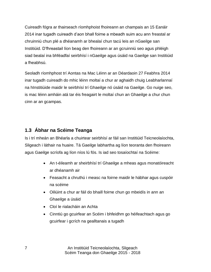Cuireadh fógra ar thairseach ríomhphoist fhoireann an champais an 15 Eanáir 2014 inar tugadh cuireadh d"aon bhall foirne a mbeadh suim acu ann freastal ar chruinniú chun plé a dhéanamh ar bhealaí chun tacú leis an nGaeilge san Institiúid. D"fhreastail líon beag den fhoireann ar an gcruinniú seo agus phléigh siad bealaí ina bhféadfaí seirbhísí i nGaeilge agus úsáid na Gaeilge san Institiúid a fheabhsú.

Seoladh ríomhphost trí Aontas na Mac Léinn ar an Déardaoin 27 Feabhra 2014 inar tugadh cuireadh do mhic léinn moltaí a chur ar aghaidh chuig Leabharlannaí na hInstitiúide maidir le seirbhísí trí Ghaeilge nó úsáid na Gaeilge. Go nuige seo, is mac léinn amháin atá tar éis freagairt le moltaí chun an Ghaeilge a chur chun cinn ar an gcampas.

#### <span id="page-6-0"></span>**1.3 Ábhar na Scéime Teanga**

Is i trí mheán an Bhéarla a chuirtear seirbhísí ar fáil san Institiúid Teicneolaíochta, Sligeach i láthair na huaire. Tá Gaeilge labhartha ag líon teoranta den fhoireann agus Gaeilge scríofa ag líon níos lú fós. Is iad seo tosaíochtaí na Scéime:

- An t-éileamh ar sheirbhísí trí Ghaeilge a mheas agus monatóireacht ar dhéanamh air
- Feasacht a chruthú i measc na foirne maidir le hábhar agus cuspóir na scéime
- Oiliúint a chur ar fáil do bhaill foirne chun go mbeidís in ann an Ghaeilge a úsáid
- Cloí le rialacháin an Achta
- Cinntiú go gcuirfear an Scéim i bhfeidhm go héifeachtach agus go gcuirfear i gcrích na gealltanais a tugadh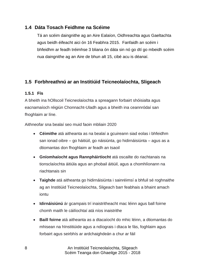#### <span id="page-7-0"></span>**1.4 Dáta Tosach Feidhme na Scéime**

Tá an scéim daingnithe ag an Aire Ealaíon, Oidhreachta agus Gaeltachta agus beidh éifeacht aici ón 16 Feabhra 2015. Fanfaidh an scéim i bhfeidhm ar feadh tréimhse 3 bliana ón dáta sin nó go dtí go mbeidh scéim nua daingnithe ag an Aire de bhun alt 15, cibé acu is déanaí.

#### <span id="page-7-1"></span>**1.5 Forbhreathnú ar an Institiúid Teicneolaíochta, Sligeach**

#### <span id="page-7-2"></span>**1.5.1 Fís**

A bheith ina hOllscoil Teicneolaíochta a spreagann forbairt shóisialta agus eacnamaíoch réigiún Chonnacht-Uladh agus a bheith ina ceannródaí san fhoghlaim ar líne.

Aithneofar sna bealaí seo muid faoin mbliain 2020

- **Céimithe** atá aitheanta as na bealaí a gcuireann siad eolas i bhfeidhm san ionad oibre – go háitiúil, go náisiúnta, go hidirnáisiúnta – agus as a dtiomantas don fhoghlaim ar feadh an tsaoil
- **Gníomhaíocht agus Rannpháirtíocht** atá oscailte do riachtanais na tionsclaíochta áitiúla agus an phobail áitiúil, agus a chomhlíonann na riachtanais sin
- **Taighde** atá aitheanta go hidirnáisiúnta i sainréimsí a bhfuil sé roghnaithe ag an Institiúid Teicneolaíochta, Sligeach barr feabhais a bhaint amach iontu
- **Idirnáisiúnú** ár gcampais trí inaistritheacht mac léinn agus ball foirne chomh maith le cáilíochtaí atá níos inaistrithe
- **Baill foirne** atá aitheanta as a dtacaíocht do mhic léinn, a dtiomantas do mhisean na hInstitiúide agus a ndíograis i dtaca le fás, foghlaim agus forbairt agus seirbhís ar ardchaighdeán a chur ar fáil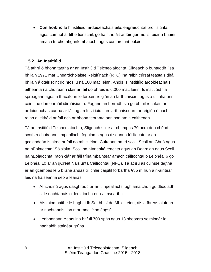**Comhoibriú** le hinstitiúidí ardoideachais eile, eagraíochtaí proifisiúnta agus comhpháirtithe tionscail, go háirithe áit ar léir gur mó is féidir a bhaint amach trí chomhghníomhaíocht agus comhroinnt eolais

#### <span id="page-8-0"></span>**1.5.2 An Institiúid**

Tá athrú ó bhonn tagtha ar an Institiúid Teicneolaíochta, Sligeach ó bunaíodh í sa bhliain 1971 mar Cheardcholáiste Réigiúnach (RTC) ina raibh cúrsaí teastais dhá bhliain á dtairiscint do níos lú ná 100 mac léinn. Anois is institiúid ardoideachais aitheanta í a chuireann cláir ar fáil do bhreis is 6,000 mac léinn. Is institiúid í a spreagann agus a thacaíonn le forbairt réigiún an Iarthuaiscirt, agus a ullmhaíonn céimithe don earnáil idirnáisiúnta. Fágann an borradh sin go bhfuil rochtain ar ardoideachas curtha ar fáil ag an Institiúid san Iarthuaisceart, ar réigiún é nach raibh a leithéid ar fáil ach ar bhonn teoranta ann san am a caitheadh.

Tá an Institiúid Teicneolaíochta, Sligeach suite ar champas 70 acra den chéad scoth a chuireann timpeallacht foghlama agus áiseanna fóillíochta ar an gcaighdeán is airde ar fáil do mhic léinn. Cuireann na trí scoil, Scoil an Ghnó agus na nEolaíochtaí Sóisialta, Scoil na hInnealtóireachta agus an Dearaidh agus Scoil na hEolaíochta, raon clár ar fáil trína mbaintear amach cáilíochtaí ó Leibhéal 6 go Leibhéal 10 ar an gCreat Náisiúnta Cáilíochtaí (NFQ). Tá athrú as cuimse tagtha ar an gcampas le 5 bliana anuas trí chlár caipitil forbartha €35 milliún a n-áirítear leis na háiseanna seo a leanas:

- Athchóiriú agus uasghrádú ar an timpeallacht foghlama chun go dtiocfadh sí le riachtanais oideolaíocha nua-aimseartha
- Áis thiomnaithe le haghaidh Seirbhísí do Mhic Léinn, áis a fhreastalaíonn ar riachtanais líon mór mac léinn éagsúil
- Leabharlann Yeats ina bhfuil 700 spás agus 13 sheomra seimineár le haghaidh staidéar grúpa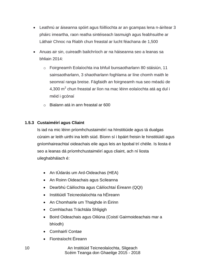- Leathnú ar áiseanna spóirt agus fóillíochta ar an gcampas lena n-áirítear 3 pháirc imeartha, raon reatha sintéiseach lasmuigh agus feabhsuithe ar Láthair Chnoc na Riabh chun freastal ar lucht féachana de 1,500
- Anuas air sin, cuireadh bailchríoch ar na háiseanna seo a leanas sa bhliain 2014:
	- o Foirgneamh Eolaíochta ina bhfuil bunsaotharlann 80 stáisiún, 11 sainsaotharlann, 3 shaotharlann foghlama ar líne chomh maith le seomraí ranga breise. Fágfaidh an foirgneamh nua seo méadú de 4,300 m $^2$  chun freastal ar líon na mac léinn eolaíochta atá ag dul i méid i gcónaí
	- o Bialann atá in ann freastal ar 600

#### <span id="page-9-0"></span>**1.5.3 Custaiméirí agus Cliaint**

Is iad na mic léinn príomhchustaiméirí na hInstitiúide agus tá dualgas cúraim ar leith uirthi ina leith siúd. Bíonn sí i bpáirt freisin le hinstitiúidí agus gníomhaireachtaí oideachais eile agus leis an bpobal trí chéile. Is liosta é seo a leanas dá príomhchustaiméirí agus cliaint, ach ní liosta uileghabhálach é:

- An tÚdarás um Ard-Oideachas (HEA)
- An Roinn Oideachais agus Scileanna
- Dearbhú Cáilíochta agus Cáilíochtaí Éireann (QQI)
- Institiúidí Teicneolaíochta na hÉireann
- An Chomhairle um Thaighde in Éirinn
- Comhlachas Tráchtála Shligigh
- Boird Oideachais agus Oiliúna (Coistí Gairmoideachais mar a bhíodh)
- Comhairlí Contae
- Fiontraíocht Éireann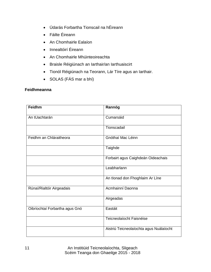- Údarás Forbartha Tionscail na hÉireann
- Fáilte Éireann
- An Chomhairle Ealaíon
- Innealtóirí Éireann
- An Chomhairle Mhúinteoireachta
- Braisle Réigiúnach an Iarthair/an Iarthuaiscirt
- Tionól Réigiúnach na Teorann, Lár Tíre agus an Iarthair.
- SOLAS (FÁS mar a bhí)

#### <span id="page-10-0"></span>**Feidhmeanna**

| Feidhm                         | Rannóg                                  |
|--------------------------------|-----------------------------------------|
| An tUachtarán                  | Cumarsáid                               |
|                                | Tionscadail                             |
| Feidhm an Chláraitheora        | Gnóthaí Mac Léinn                       |
|                                | Taighde                                 |
|                                | Forbairt agus Caighdeán Oideachais      |
|                                | Leabharlann                             |
|                                | An tIonad don Fhoghlaim Ar Líne         |
| Rúnaí/Rialtóir Airgeadais      | Acmhainní Daonna                        |
|                                | Airgeadas                               |
| Oibríochtaí Forbartha agus Gnó | Eastáit                                 |
|                                | Teicneolaíocht Faisnéise                |
|                                | Aistriú Teicneolaíochta agus Nuálaíocht |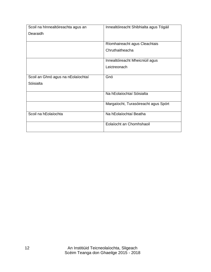| Scoil na hInnealtóireachta agus an | Innealtóireacht Shibhialta agus Tógáil |  |  |  |  |  |  |
|------------------------------------|----------------------------------------|--|--|--|--|--|--|
| Dearaidh                           |                                        |  |  |  |  |  |  |
|                                    |                                        |  |  |  |  |  |  |
|                                    | Ríomhaireacht agus Cleachtais          |  |  |  |  |  |  |
|                                    | Chruthaitheacha                        |  |  |  |  |  |  |
|                                    |                                        |  |  |  |  |  |  |
|                                    | Innealtóireacht Mheicniúil agus        |  |  |  |  |  |  |
|                                    | Leictreonach                           |  |  |  |  |  |  |
|                                    |                                        |  |  |  |  |  |  |
| Scoil an Ghnó agus na nEolaíochtaí | Gnó                                    |  |  |  |  |  |  |
| Sóisialta                          |                                        |  |  |  |  |  |  |
|                                    |                                        |  |  |  |  |  |  |
|                                    | Na hEolaíochtaí Sóisialta              |  |  |  |  |  |  |
|                                    |                                        |  |  |  |  |  |  |
|                                    | Margaíocht, Turasóireacht agus Spórt   |  |  |  |  |  |  |
|                                    |                                        |  |  |  |  |  |  |
| Scoil na hEolaíochta               | Na hEolaíochtaí Beatha                 |  |  |  |  |  |  |
|                                    | Eolaíocht an Chomhshaoil               |  |  |  |  |  |  |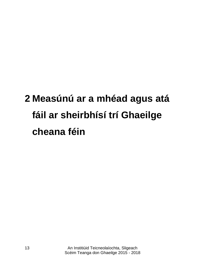### <span id="page-12-1"></span><span id="page-12-0"></span>**2 Measúnú ar a mhéad agus atá fáil ar sheirbhísí trí Ghaeilge cheana féin**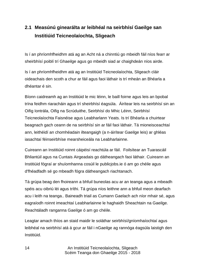#### <span id="page-13-0"></span>**2.1 Measúnú ginearálta ar leibhéal na seirbhísí Gaeilge san Institiúid Teicneolaíochta, Sligeach**

Is í an phríomhfheidhm atá ag an Acht ná a chinntiú go mbeidh fáil níos fearr ar sheirbhísí poiblí trí Ghaeilge agus go mbeidh siad ar chaighdeán níos airde.

Is í an phríomhfheidhm atá ag an Institiúid Teicneolaíochta, Sligeach cláir oideachais den scoth a chur ar fáil agus faoi láthair is trí mheán an Bhéarla a dhéantar é sin.

Bíonn caidreamh ag an Institiúid le mic léinn, le baill foirne agus leis an bpobal trína feidhm riaracháin agus trí sheirbhísí éagsúla. Áirítear leis na seirbhísí sin an Oifig Iontrála, Oifig na Scrúduithe, Seirbhísí do Mhic Léinn, Seirbhísí Teicneolaíochta Faisnéise agus Leabharlann Yeats. Is trí Bhéarla a chuirtear beagnach gach ceann de na seirbhísí sin ar fáil faoi láthair. Tá mioneisceachtaí ann, leithéidí an chomhéadain ilteangaigh (a n-áirítear Gaeilge leis) ar ghléas iasachtaí féinseirbhíse mearsheiceála na Leabharlainne.

Cuireann an Institiúid roinnt cáipéisí reachtúla ar fáil. Foilsítear an Tuarascáil Bhliantúil agus na Cuntais Airgeadais go dátheangach faoi láthair. Cuireann an Institiúid fógraí ar shuíomhanna cosúil le publicjobs.ie ó am go chéile agus d'fhéadfadh sé go mbeadh fógra dátheangach riachtanach.

Tá grúpa beag den fhoireann a bhfuil buneolas acu ar an teanga agus a mbeadh spéis acu oibriú léi agus tríthi. Tá grúpa níos leithne ann a bhfuil meon dearfach acu i leith na teanga.. Baineadh triail as Cumann Gaelach ach níor mhair sé, agus eagraíodh roinnt imeachtaí Leabharlainne le haghaidh Sheachtain na Gaeilge. Reachtáladh ranganna Gaeilge ó am go chéile.

Leagtar amach thíos an staid maidir le soláthar seirbhísí/gníomhaíochtaí agus leibhéal na seirbhísí atá á gcur ar fáil i nGaeilge ag rannóga éagsúla laistigh den Institiúid.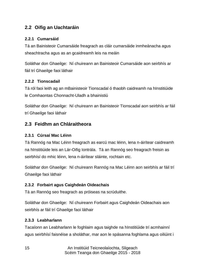#### <span id="page-14-0"></span>**2.2 Oifig an Uachtaráin**

#### <span id="page-14-1"></span>**2.2.1 Cumarsáid**

Tá an Bainisteoir Cumarsáide freagrach as cláir cumarsáide inmheánacha agus sheachtracha agus as an gcaidreamh leis na meáin

Soláthar don Ghaeilge: Ní chuireann an Bainisteoir Cumarsáide aon seirbhís ar fáil trí Ghaeilge faoi láthair

#### <span id="page-14-2"></span>**2.2.2 Tionscadail**

Tá ról faoi leith ag an mBainisteoir Tionscadal ó thaobh caidreamh na hInstitiúide le Comhaontas Chonnacht-Uladh a bhainistiú

Soláthar don Ghaeilge: Ní chuireann an Bainisteoir Tionscadal aon seirbhís ar fáil trí Ghaeilge faoi láthair

#### <span id="page-14-3"></span>**2.3 Feidhm an Chláraitheora**

#### <span id="page-14-4"></span>**2.3.1 Cúrsaí Mac Léinn**

Tá Rannóg na Mac Léinn freagrach as earcú mac léinn, lena n-áirítear caidreamh na hInstitiúide leis an Lár-Oifig Iontrála. Tá an Rannóg seo freagrach freisin as seirbhísí do mhic léinn, lena n-áirítear sláinte, rochtain etc.

Soláthar don Ghaeilge: Ní chuireann Rannóg na Mac Léinn aon seirbhís ar fáil trí Ghaeilge faoi láthair

#### <span id="page-14-5"></span>**2.3.2 Forbairt agus Caighdeán Oideachais**

Tá an Rannóg seo freagrach as próiseas na scrúduithe.

Soláthar don Ghaeilge: Ní chuireann Forbairt agus Caighdeán Oideachais aon seirbhís ar fáil trí Ghaeilge faoi láthair

#### <span id="page-14-6"></span>**2.3.3 Leabharlann**

Tacaíonn an Leabharlann le foghlaim agus taighde na hInstitiúide trí acmhainní agus seirbhísí faisnéise a sholáthar, mar aon le spásanna foghlama agus oiliúint i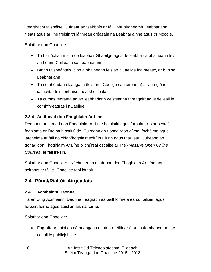litearthacht faisnéise. Cuirtear an tseirbhís ar fáil i bhFoirgneamh Leabharlann Yeats agus ar líne freisin trí láithreán gréasáin na Leabharlainne agus trí Moodle.

Soláthar don Ghaeilge:

- Tá bailiúchán maith de leabhair Ghaeilge agus de leabhair a bhaineann leis an Léann Ceilteach sa Leabharlann
- Bíonn taispeántais, cinn a bhaineann leis an nGaeilge ina measc, ar bun sa **Leabharlann**
- Tá comhéadan ilteangach (leis an nGaeilge san áireamh) ar an ngléas iasachtaí féinseirbhíse mearsheiceála
- Tá cumas teoranta ag an leabharlann ceisteanna fhreagairt agus deileáil le comhfhreagras i nGaeilge

#### <span id="page-15-0"></span>**2.3.4 An tIonad don Fhoghlaim Ar Líne**

Déanann an tIonad don Fhoghlaim Ar Líne bainistiú agus forbairt ar oibríochtaí foghlama ar líne na hInstitiúide. Cuireann an tIonad raon cúrsaí fochéime agus iarchéime ar fáil do chianfhoghlaimeoirí in Éirinn agus thar lear. Cuireann an tIonad don Fhoghlaim Ar Líne ollchúrsaí oscailte ar líne (*Massive Open Online Courses*) ar fáil freisin.

Soláthar don Ghaeilge: Ní chuireann an tIonad don Fhoghlaim Ar Líne aon seirbhís ar fáil trí Ghaeilge faoi láthair.

#### <span id="page-15-1"></span>**2.4 Rúnaí/Rialtóir Airgeadais**

#### <span id="page-15-2"></span>**2.4.1 Acmhainní Daonna**

Tá an Oifig Acmhainní Daonna freagrach as baill foirne a earcú, oiliúint agus forbairt foirne agus aoisliúntais na foirne.

Soláthar don Ghaeilge:

 Fógraítear poist go dátheangach nuair a n-éilítear é ar shuíomhanna ar líne cosúil le publicjobs.ie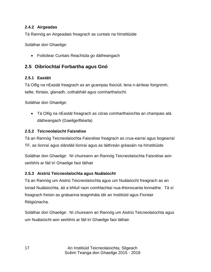#### <span id="page-16-0"></span>**2.4.2 Airgeadas**

Tá Rannóg an Airgeadais freagrach as cuntais na hInstitiúide

Soláthar don Ghaeilge:

Foilsítear Cuntais Reachtúla go dátheangach

#### <span id="page-16-1"></span>**2.5 Oibríochtaí Forbartha agus Gnó**

#### <span id="page-16-2"></span>**2.5.1 Eastáit**

Tá Oifig na nEastát freagrach as an gcampas fisiciúil, lena n-áirítear foirgnimh, tailte, fóntais, glanadh, cothabháil agus comharthaíocht.

Soláthar don Ghaeilge:

 Tá Oifig na nEastát freagrach as córas comharthaíochta an champais atá dátheangach (Gaeilge/Béarla)

#### <span id="page-16-3"></span>**2.5.2 Teicneolaíocht Faisnéise**

Tá an Rannóg Teicneolaíochta Faisnéise freagrach as crua-earraí agus bogearraí TF, as líonraí agus slándáil líonraí agus as láithreán gréasáin na hInstitiúide

Soláthar don Ghaeilge: Ní chuireann an Rannóg Teicneolaíochta Faisnéise aon seirbhís ar fáil trí Ghaeilge faoi láthair

#### <span id="page-16-4"></span>**2.5.3 Aistriú Teicneolaíochta agus Nuálaíocht**

Tá an Rannóg um Aistriú Teicneolaíochta agus um Nuálaíocht freagrach as an Ionad Nuálaíochta, áit a bhfuil raon comhlachtaí nua-thionscanta lonnaithe. Tá sí freagrach freisin as gnásanna teagmhála idir an Institiúid agus Fiontair Réigiúnacha.

Soláthar don Ghaeilge: Ní chuireann an Rannóg um Aistriú Teicneolaíochta agus um Nuálaíocht aon seirbhís ar fáil trí Ghaeilge faoi láthair.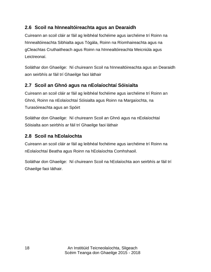#### <span id="page-17-0"></span>**2.6 Scoil na hInnealtóireachta agus an Dearaidh**

Cuireann an scoil cláir ar fáil ag leibhéal fochéime agus iarchéime trí Roinn na hInnealtóireachta Sibhialta agus Tógála, Roinn na Ríomhaireachta agus na gCleachtas Cruthaitheach agus Roinn na hInnealtóireachta Meicniúla agus Leictreonaí.

Soláthar don Ghaeilge: Ní chuireann Scoil na hInnealtóireachta agus an Dearaidh aon seirbhís ar fáil trí Ghaeilge faoi láthair

#### <span id="page-17-1"></span>**2.7 Scoil an Ghnó agus na nEolaíochtaí Sóisialta**

Cuireann an scoil cláir ar fáil ag leibhéal fochéime agus iarchéime trí Roinn an Ghnó, Roinn na nEolaíochtaí Sóisialta agus Roinn na Margaíochta, na Turasóireachta agus an Spóirt

Soláthar don Ghaeilge: Ní chuireann Scoil an Ghnó agus na nEolaíochtaí Sóisialta aon seirbhís ar fáil trí Ghaeilge faoi láthair

#### <span id="page-17-2"></span>**2.8 Scoil na hEolaíochta**

Cuireann an scoil cláir ar fáil ag leibhéal fochéime agus iarchéime trí Roinn na nEolaíochtaí Beatha agus Roinn na hEolaíochta Comhshaoil.

Soláthar don Ghaeilge: Ní chuireann Scoil na hEolaíochta aon seirbhís ar fáil trí Ghaeilge faoi láthair.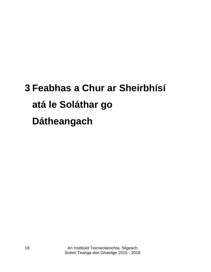## <span id="page-18-0"></span>**3 Feabhas a Chur ar Sheirbhísí atá le Soláthar go Dátheangach**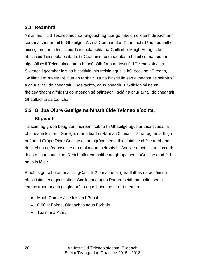#### <span id="page-19-0"></span>**3.1 Réamhrá**

Níl an Institiúid Teicneolaíochta, Sligeach ag tuar go mbeidh éileamh díreach ann cúrsaí a chur ar fáil trí Ghaeilge. Ach tá Comhaontas Chonnacht-Uladh bunaithe aici i gcomhar le hInstitiúid Teicneolaíochta na Gaillimhe-Maigh Eo agus le hInstitiúid Teicneolaíochta Leitir Ceanainn, comhaontas a bhfuil sé mar aidhm aige Ollscoil Teicneolaíochta a bhunú. Oibríonn an Institiúid Teicneolaíochta, Sligeach i gcomhar leis na hinstitiúidí sin freisin agus le hOllscoil na hÉireann, Gaillimh i mBraisle Réigiún an Iarthair. Tá na hinstitiúid seo aitheanta as seirbhísí a chur ar fáil do cheantair Ghaeltachta, agus bheadh IT Shligigh sásta an fhéidearthacht a fhiosrú go mbeadh sé páirteach i gcláir a chur ar fáil do cheantair Ghaeltachta sa todhchaí.

#### <span id="page-19-1"></span>**3.2 Grúpa Oibre Gaeilge na hInstitiúide Teicneolaíochta, Sligeach**

Tá suim ag grúpa beag den fhoireann oibriú trí Ghaeilge agus ar thionscadail a bhaineann leis an nGaeilge, mar a luadh i Rannán [0](#page-12-1) thuas. Táthar ag moladh go ndéanfaí Grúpa Oibre Gaeilge as an ngrúpa seo a thiocfaidh le chéile ar bhonn rialta chun na feabhsuithe atá molta don tseirbhís i nGaeilge a bhfuil cur síos orthu thíos a chur chun cinn. Reáchtálfar cruinnithe an ghrúpa seo i nGaeilge a mhéid agus is féidir.

Bíodh is go raibh an anailís i gCaibidil 2 bunaithe ar ghrádlathas riaracháin na hInstitiúide lena gcuimsítear Scoileanna agus Ranna, beidh na moltaí seo a leanas trasrannach go ginearálta agus bunaithe ar thrí théama:

- Modh Cumarsáide leis an bPobal
- Oiliúint Foirne, Oideachas agus Forbairt
- Tuairimí a Athrú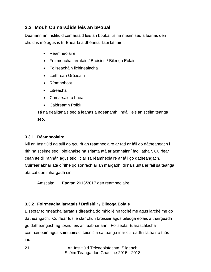#### <span id="page-20-0"></span>**3.3 Modh Cumarsáide leis an bPobal**

Déanann an Institiúid cumarsáid leis an bpobal trí na meáin seo a leanas den chuid is mó agus is trí Bhéarla a dhéantar faoi láthair í.

- Réamheolaire
- Foirmeacha iarratais / Bróisiúir / Bileoga Eolais
- Foilseacháin ilchineálacha
- Láithreán Gréasáin
- Ríomhphost
- Litreacha
- Cumarsáid ó bhéal
- Caidreamh Poiblí.

Tá na gealltanais seo a leanas á ndéanamh i ndáil leis an scéim teanga seo.

#### <span id="page-20-1"></span>**3.3.1 Réamheolaire**

Níl an Institiúid ag súil go gcuirfí an réamheolaire ar fad ar fáil go dátheangach i rith na scéime seo i bhfianaise na srianta atá ar acmhainní faoi láthair. Cuirfear ceannteidil rannán agus teidil clár sa réamheolaire ar fáil go dátheangach. Cuirfear ábhar atá dírithe go sonrach ar an margadh idirnáisiúnta ar fáil sa teanga atá cuí don mhargadh sin.

Amscála: Eagrán 2016/2017 den réamheolaire

#### <span id="page-20-2"></span>**3.3.2 Foirmeacha iarratais / Bróisiúir / Bileoga Eolais**

Eiseofar foirmeacha iarratais díreacha do mhic léinn fochéime agus iarchéime go dátheangach. Cuirfear tús le clár chun bróisiúir agus bileoga eolais a thairgeadh go dátheangach ag tosnú leis an leabharlann. Foilseofar tuarascálacha comhairleoirí agus saintuairiscí teicniúla sa teanga inar cuireadh i láthair ó thús iad.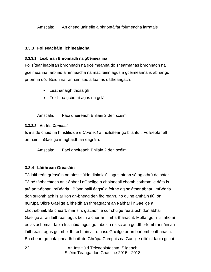Amscála: An chéad uair eile a phriontálfar foirmeacha iarratais

#### <span id="page-21-0"></span>**3.3.3 Foilseacháin Ilchineálacha**

#### **3.3.3.1 Leabhrán Bhronnadh na gCéimeanna**

Foilsítear leabhrán bhronnadh na gcéimeanna do shearmanas bhronnadh na gcéimeanna, arb iad ainmneacha na mac léinn agus a gcéimeanna is ábhar go príomha dó. Beidh na rannáin seo a leanas dátheangach:

- Leathanaigh thosaigh
- Teidil na gcúrsaí agus na gclár

Amscála: Faoi dheireadh Bhliain 2 den scéim

#### **3.3.3.2 An Iris** *Connect*

Is iris de chuid na hInstitiúide é *Connect* a fhoilsítear go bliantúil. Foilseofar alt amháin i nGaeilge in aghaidh an eagráin.

Amscála: Faoi dheireadh Bhliain 2 den scéim

#### <span id="page-21-1"></span>**3.3.4 Láithreán Gréasáin**

Tá láithreán gréasáin na hInstitiúide dinimiciúil agus bíonn sé ag athrú de shíor. Tá sé tábhachtach an t-ábhar i nGaeilge a choinneáil chomh cothrom le dáta is atá an t-ábhar i mBéarla. Bíonn baill éagsúla foirne ag soláthar ábhar i mBéarla don suíomh ach is ar líon an-bheag den fhoireann, nó duine amháin fiú, ón nGrúpa Oibre Gaeilge a bheidh an fhreagracht an t-ábhar i nGaeilge a chothabháil. Ba cheart, mar sin, glacadh le cur chuige réalaíoch don ábhar Gaeilge ar an láithreán agus béim a chur ar inmharthanacht. Moltar go n-ullmhófaí eolas achomair faoin Institiúid, agus go mbeidh naisc ann go dtí príomhrannáin an láithreáin, agus go mbeidh rochtain air ó nasc Gaeilge ar an bpríomhleathanach. Ba cheart go bhfaigheadh baill de Ghrúpa Campais na Gaeilge oiliúint faoin gcaoi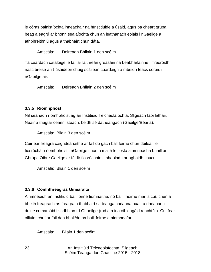le córas bainistíochta inneachair na hInstitiúide a úsáid, agus ba cheart grúpa beag a eagrú ar bhonn sealaíochta chun an leathanach eolais i nGaeilge a athbhreithniú agus a thabhairt chun dáta.

Amscála: Deireadh Bhliain 1 den scéim

Tá cuardach catalóige le fáil ar láithreán gréasáin na Leabharlainne. Treoróidh nasc breise an t-úsáideoir chuig scáileán cuardaigh a mbeidh téacs córais i nGaeilge air.

Amscála: Deireadh Bhliain 2 den scéim

#### <span id="page-22-0"></span>**3.3.5 Ríomhphost**

Níl séanadh ríomhphoist ag an Institiúid Teicneolaíochta, Sligeach faoi láthair. Nuair a thugtar ceann isteach, beidh sé dátheangach (Gaeilge/Béarla).

Amscála: Bliain 3 den scéim

Cuirfear freagra caighdeánaithe ar fáil do gach ball foirne chun déileáil le fiosrúcháin ríomhphoist i nGaeilge chomh maith le liosta ainmneacha bhaill an Ghrúpa Oibre Gaeilge ar féidir fiosrúcháin a sheoladh ar aghaidh chucu.

Amscála: Bliain 1 den scéim

#### <span id="page-22-1"></span>**3.3.6 Comhfhreagras Ginearálta**

Ainmneoidh an Institiúid ball foirne tiomnaithe, nó baill fhoirne mar is cuí, chun a bheith freagrach as freagra a thabhairt sa teanga chéanna nuair a dhéanann duine cumarsáid i scríbhinn trí Ghaeilge (rud atá ina oibleagáid reachtúil). Cuirfear oiliúint chuí ar fáil don bhall/do na baill foirne a ainmneofar.

Amscála: Bliain 1 den scéim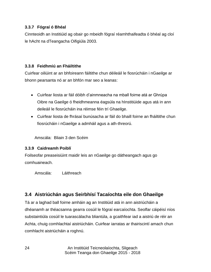#### <span id="page-23-0"></span>**3.3.7 Fógraí ó Bhéal**

Cinnteoidh an Institiúid ag obair go mbeidh fógraí réamhthaifeadta ó bhéal ag cloí le hAcht na dTeangacha Oifigiúla 2003.

#### <span id="page-23-1"></span>**3.3.8 Feidhmiú an Fháiltithe**

Cuirfear oiliúint ar an bhfoireann fáiltithe chun déileáil le fiosrúcháin i nGaeilge ar bhonn pearsanta nó ar an bhfón mar seo a leanas:

- Cuirfear liosta ar fáil dóibh d"ainmneacha na mball foirne atá ar Ghrúpa Oibre na Gaeilge ó fheidhmeanna éagsúla na hInstitiúide agus atá in ann deileáil le fiosrúcháin ina réimse féin trí Ghaeilge.
- Cuirfear liosta de fhrásaí bunúsacha ar fáil do bhaill foirne an fháiltithe chun fiosrúcháin i nGaeilge a admháil agus a ath-threorú.

Amscála: Bliain 3 den Scéim

#### <span id="page-23-2"></span>**3.3.9 Caidreamh Poiblí**

Foilseofar preaseisiúint maidir leis an nGaeilge go dátheangach agus go comhuaineach.

Amscála: Láithreach

#### <span id="page-23-3"></span>**3.4 Aistriúchán agus Seirbhísí Tacaíochta eile don Ghaeilge**

Tá ar a laghad ball foirne amháin ag an Institiúid atá in ann aistriúcháin a dhéanamh ar théacsanna gearra cosúil le fógraí earcaíochta. Seolfar cáipéisí níos substaintiúla cosúil le tuarascálacha bliantúla, a gcaithfear iad a aistriú de réir an Achta, chuig comhlachtaí aistriúcháin. Cuirfear iarratas ar thairiscintí amach chun comhlacht aistriúcháin a roghnú.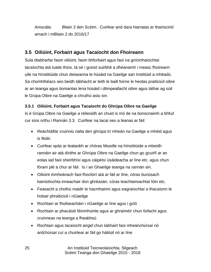Amscála: Bliain 2 den Scéim. Cuirfear and dara hiarratas ar thairiscintí amach i mBliain 2 do 2016/17

#### <span id="page-24-0"></span>**3.5 Oiliúint, Forbairt agus Tacaíocht don Fhoireann**

Sula dtabharfar faoin oiliúint, faoin bhforbairt agus faoi na gníomhaíochtaí tacaíochta atá luaite thíos, tá sé i gceist suirbhé a dhéanamh i measc fhoireann uile na hInstitiúide chun deiseanna le húsáid na Gaeilge san Institiúid a mhéadú. Sa chomhthéacs seo beidh tábhacht ar leith le baill foirne le heolas praiticiúil oibre ar an teanga agus tiomantas lena húsáid i dtimpeallacht oibre agus táthar ag súil le Grúpa Oibre na Gaeilge a chruthú astu sin.

#### <span id="page-24-1"></span>**3.5.1 Oiliúint, Forbairt agus Tacaíocht do Ghrúpa Oibre na Gaeilge**

Is é Grúpa Oibre na Gaeilge a réiteoidh an chuid is mó de na tionscnaimh a bhfuil cur síos orthu i Rannán [3.3.](#page-20-0) Cuirfear na tacaí seo a leanas ar fáil:

- Reáchtálfar cruinniú rialta den ghrúpa trí mheán na Gaeilge a mhéid agus is féidir.
- Cuirfear spás ar leataobh ar chóras Moodle na hInstitiúide a mbeidh rannáin air atá dírithe ar Ghrúpa Oibre na Gaeilge chun go gcuirfí ar an eolas iad faoi sheirbhísí agus cáipéisí úsáideacha ar líne etc. agus chun fóram plé a chur ar fáil. Is í an Ghaeilge teanga na rannán sin.
- Oiliúint inmheánach faoi fhoclóirí atá ar fáil ar líne, córas bunúsach bainistíochta inneachair don ghréasán, córas teachtaireachtaí fóin etc.
- Feasacht a chothú maidir le hacmhainní agus eagraíochtaí a thacaíonn le hobair phraiticiúil i nGaeilge
- Rochtain ar fhoilseacháin i nGaeilge ar líne agus i gcló
- Rochtain ar phacáistí féinmhúinte agus ar ghraiméir chun líofacht agus cruinneas na teanga a fheabhsú
- Rochtain agus tacaíocht airgid chun tabhairt faoi mheánchúrsaí nó ardchúrsaí cuí a chuirtear ar fáil go háitiúil nó ar líne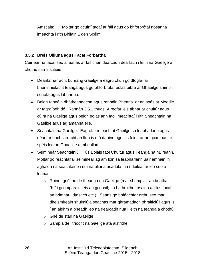Amscála: Moltar go gcuirfí tacaí ar fáil agus go bhforbrófaí nósanna imeachta i rith Bhliain 1 den Scéim

#### <span id="page-25-0"></span>**3.5.2 Breis Oiliúna agus Tacaí Forbartha**

Cuirfear na tacaí seo a leanas ar fáil chun dearcadh dearfach i leith na Gaeilge a chothú san Institiúid:

- Déanfar iarracht bunrang Gaeilge a eagrú chun go dtógfaí ar bhuninniúlacht teanga agus go bhforbrófaí eolas oibre ar Ghaeilge shimplí scríofa agus labhartha.
- Beidh rannáin dhátheangacha agus rannáin Bhéarla ar an spás ar Moodle ar tagraíodh dó i Rannán [3.5.1](#page-24-1) thuas. Áireofar leis ábhar ar chultúr agus cúlra na Gaeilge agus beidh eolas ann faoi imeachtaí i rith Sheachtain na Gaeilge agus ag amanna eile.
- Seachtain na Gaeilge. Eagrófar imeachtaí Gaeilge sa leabharlann agus déanfar gach iarracht an líon is mó daoine agus is féidir ar an gcampas ar spéis leo an Ghaeilge a mhealladh.
- Seimineár Seachtainiúil: Tús Eolais faoi Chultúr agus Teanga na hÉireann. Moltar go reáchtálfar seimineár ag am lóin sa leabharlann uair amháin in aghaidh na seachtaine i rith na bliana acadúla ina ndéiléalfar leo seo a leanas:
	- o Roinnt gnéithe de theanga na Gaeilge (mar shampla: an briathar "bí" i gcomparáid leis an gcopail; na hathruithe tosaigh ag tús focal; an briathar i dtosach etc.). Seans go bhféachfar orthu seo mar dheismireáin shuimiúla seachas mar ghramadach phraiticiúil agus is í an aidhm a bheadh leo ná dearcadh nua i leith na teanga a chothú.
	- o Gné de stair na Gaeilge
	- o Sampla de litríocht na Gaeilge atá aistrithe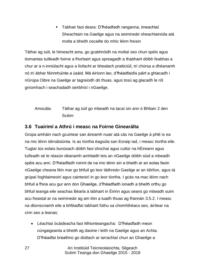Tabhair faoi deara: D"fhéadfadh ranganna, imeachtaí Sheachtain na Gaeilge agus na seimineáir sheachtainiúla atá molta a bheith oscailte do mhic léinn freisin

Táthar ag súil, le himeacht ama, go gcabhróidh na moltaí seo chun spéis agus tiomantas tuilleadh foirne a fhorbairt agus spreagadh a thabhairt dóibh feabhas a chur ar a n-inniúlacht agus a líofacht ar bhealach praiticiúil, trí chúrsa a dhéanamh nó trí ábhar féinmhúinte a úsáid. Má éiríonn leo, d"fhéadfaidís páirt a ghlacadh i nGrúpa Oibre na Gaeilge ar tagraíodh dó thuas, agus tosú ag glacadh le ról gníomhach i seachadadh seirbhísí i nGaeilge.

#### Amscála: Táthar ag súil go mbeadh na tacaí sin ann ó Bhliain 2 den Scéim

#### <span id="page-26-0"></span>**3.6 Tuairimí a Athrú i measc na Foirne Ginearálta**

Grúpa amháin nach gcuirtear san áireamh nuair atá cás na Gaeilge á phlé is ea na mic léinn idirnáisiúnta. Is as tíortha éagsúla san Eoraip iad, i measc tíortha eile. Tugtar tús eolais bunúsach dóibh faoi shochaí agus cultúr na hÉireann agus luífeadh sé le réasún déanamh amhlaidh leis an nGaeilge dóibh siúd a mbeadh spéis acu ann. D"fhéadfadh roinnt de na mic léinn sin a bheith ar an eolas faoin nGaeilge cheana féin mar go bhfuil go leor láithreán Gaeilge ar an Idirlíon, agus tá grúpaí foghlaimeoirí agus cainteoirí in go leor tíortha. I gcás na mac léinn nach bhfuil a fhios acu gur ann don Ghaeilge, d"fhéadfadh ionadh a bheith orthu go bhfuil teanga eile seachas Béarla á labhairt in Éirinn agus seans go mbeadh suim acu freastal ar na seimineáir ag am lóin a luadh thuas ag Rannán [3.5.2.](#page-25-0) I measc na dtionscnamh eile a bhféadfaí tabhairt fúthu sa chomhthéacs seo, áirítear na cinn seo a leanas:

 Léachtaí ócáideacha faoi Mhionteangacha: D"fhéadfadh meon cúngaigeanta a bheith ag daoine i leith na Gaeilge agus an Achta. D"fhéadfaí breathnú go diúltach ar iarrachtaí chun an Ghaeilge a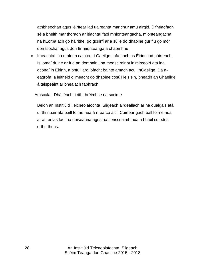athbheochan agus léirítear iad uaireanta mar chur amú airgid. D"fhéadfadh sé a bheith mar thoradh ar léachtaí faoi mhionteangacha, mionteangacha na hEorpa ach go háirithe, go gcuirfí ar a súile do dhaoine gur fiú go mór don tsochaí agus don tír mionteanga a chaomhnú.

• Imeachtaí ina mbíonn cainteoirí Gaeilge líofa nach as Éirinn iad páirteach. Is iomaí duine ar fud an domhain, ina measc roinnt inimirceoirí atá ina gcónaí in Éirinn, a bhfuil ardlíofacht bainte amach acu i nGaeilge. Dá neagrófaí a leithéid d"imeacht do dhaoine cosúil leis sin, bheadh an Ghaeilge á taispeáint ar bhealach fabhrach.

Amscála: Dhá léacht i rith thréimhse na scéime

Beidh an Institiúid Teicneolaíochta, Sligeach airdeallach ar na dualgais atá uirthi nuair atá baill foirne nua á n-earcú aici. Cuirfear gach ball foirne nua ar an eolas faoi na deiseanna agus na tionscnaimh nua a bhfuil cur síos orthu thuas.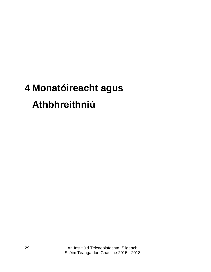### <span id="page-28-0"></span>**4 Monatóireacht agus Athbhreithniú**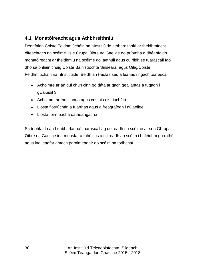#### <span id="page-29-0"></span>**4.1 Monatóireacht agus Athbhreithniú**

Déanfaidh Coiste Feidhmiúcháin na hInstitiúide athbhreithniú ar fheidhmíocht éifeachtach na scéime. Is é Grúpa Oibre na Gaeilge go príomha a dhéanfaidh monatóireacht ar fheidhmiú na scéime go laethúil agus cuirfidh sé tuarascáil faoi dhó sa bhliain chuig Coiste Bainistíochta Sinsearaí agus Oifig/Coiste Feidhmiúcháin na hInstitiúide. Beidh an t-eolas seo a leanas i ngach tuarascáil:

- Achoimre ar an dul chun cinn go dáta ar gach geallantas a tugadh i gCaibidil 3
- Achoimre ar thascanna agus costais aistriúcháin
- Liosta fiosrúchán a fuarthas agus a freagraíodh i nGaeilge
- Liosta foirmeacha dátheangacha

Scríobhfaidh an Leabharlannaí tuarascáil ag deireadh na scéime ar son Ghrúpa Oibre na Gaeilge ina measfar a mhéid is a cuireadh an scéim i bhfeidhm go rathúil agus ina leagfar amach paraiméadair do scéim sa todhchaí.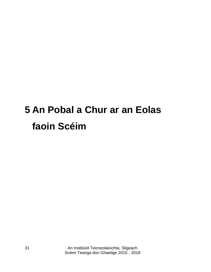### <span id="page-30-0"></span>**5 An Pobal a Chur ar an Eolas faoin Scéim**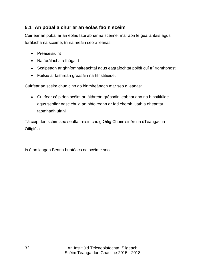#### <span id="page-31-0"></span>**5.1 An pobal a chur ar an eolas faoin scéim**

Cuirfear an pobal ar an eolas faoi ábhar na scéime, mar aon le geallantais agus forálacha na scéime, trí na meáin seo a leanas:

- **•** Preaseisiúint
- Na forálacha a fhógairt
- Scaipeadh ar ghníomhaireachtaí agus eagraíochtaí poiblí cuí trí ríomhphost
- Foilsiú ar láithreán gréasáin na hInstitiúide.

Cuirfear an scéim chun cinn go hinmheánach mar seo a leanas:

 Cuirfear cóip den scéim ar láithreán gréasáin leabharlann na hInstitiúide agus seolfar nasc chuig an bhfoireann ar fad chomh luath a dhéantar faomhadh uirthi

Tá cóip den scéim seo seolta freisin chuig Oifig Choimisinéir na dTeangacha Oifigiúla.

Is é an leagan Béarla buntéacs na scéime seo.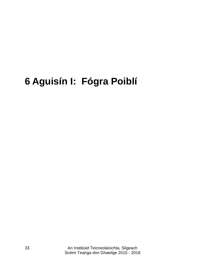### <span id="page-32-0"></span>**Aguisín I: Fógra Poiblí**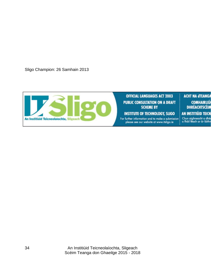Sligo Champion: 26 Samhain 2013

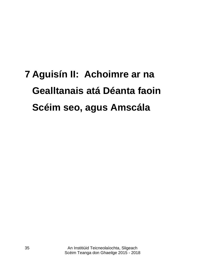## <span id="page-34-0"></span>**7 Aguisín II: Achoimre ar na Gealltanais atá Déanta faoin Scéim seo, agus Amscála**